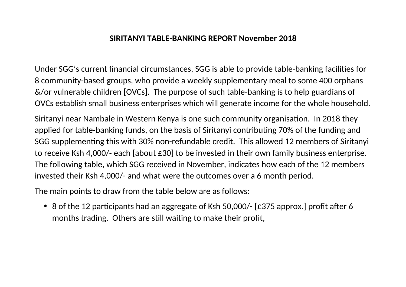## **SIRITANYI TABLE-BANKING REPORT November 2018**

Under SGG's current financial circumstances, SGG is able to provide table-banking facilities for 8 community-based groups, who provide a weekly supplementary meal to some 400 orphans &/or vulnerable children [OVCs]. The purpose of such table-banking is to help guardians of OVCs establish small business enterprises which will generate income for the whole household.

Siritanyi near Nambale in Western Kenya is one such community organisation. In 2018 they applied for table-banking funds, on the basis of Siritanyi contributing 70% of the funding and SGG supplementing this with 30% non-refundable credit. This allowed 12 members of Siritanyi to receive Ksh 4.000/- each labout £30 to be invested in their own family business enterprise. The following table, which SGG received in November, indicates how each of the 12 members invested their Ksh 4,000/- and what were the outcomes over a 6 month period.

The main points to draw from the table below are as follows:

• 8 of the 12 participants had an aggregate of Ksh 50,000/- [£375 approx.] profit after 6 months trading. Others are still waiting to make their profit,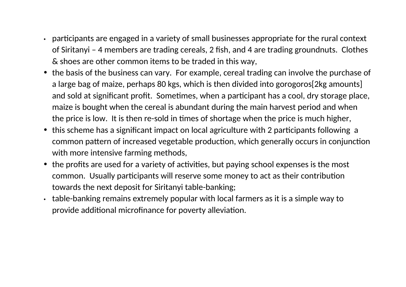- participants are engaged in a variety of small businesses appropriate for the rural context of Siritanyi - 4 members are trading cereals, 2 fish, and 4 are trading groundnuts. Clothes & shoes are other common items to be traded in this way,
- the basis of the business can vary. For example, cereal trading can involve the purchase of a large bag of maize, perhaps 80 kgs, which is then divided into gorogoros [2kg amounts] and sold at significant profit. Sometimes, when a participant has a cool, dry storage place, maize is bought when the cereal is abundant during the main harvest period and when the price is low. It is then re-sold in times of shortage when the price is much higher,
- this scheme has a significant impact on local agriculture with 2 participants following a common pattern of increased vegetable production, which generally occurs in conjunction with more intensive farming methods,
- the profits are used for a variety of activities, but paying school expenses is the most common. Usually participants will reserve some money to act as their contribution towards the next deposit for Siritanyi table-banking;
- table-banking remains extremely popular with local farmers as it is a simple way to provide additional microfinance for poverty alleviation.